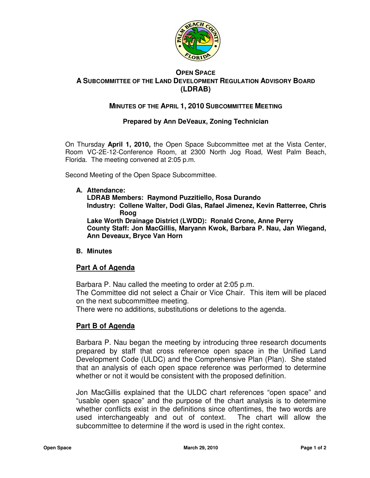

### **OPEN SPACE A SUBCOMMITTEE OF THE LAND DEVELOPMENT REGULATION ADVISORY BOARD (LDRAB)**

# **MINUTES OF THE APRIL 1, 2010 SUBCOMMITTEE MEETING**

### **Prepared by Ann DeVeaux, Zoning Technician**

On Thursday **April 1, 2010,** the Open Space Subcommittee met at the Vista Center, Room VC-2E-12-Conference Room, at 2300 North Jog Road, West Palm Beach, Florida. The meeting convened at 2:05 p.m.

Second Meeting of the Open Space Subcommittee.

#### **A. Attendance:**

**LDRAB Members: Raymond Puzzitiello, Rosa Durando Industry: Collene Walter, Dodi Glas, Rafael Jimenez, Kevin Ratterree, Chris Roog Lake Worth Drainage District (LWDD): Ronald Crone, Anne Perry County Staff: Jon MacGillis, Maryann Kwok, Barbara P. Nau, Jan Wiegand, Ann Deveaux, Bryce Van Horn** 

#### **B. Minutes**

#### **Part A of Agenda**

Barbara P. Nau called the meeting to order at 2:05 p.m.

The Committee did not select a Chair or Vice Chair. This item will be placed on the next subcommittee meeting.

There were no additions, substitutions or deletions to the agenda.

# **Part B of Agenda**

Barbara P. Nau began the meeting by introducing three research documents prepared by staff that cross reference open space in the Unified Land Development Code (ULDC) and the Comprehensive Plan (Plan). She stated that an analysis of each open space reference was performed to determine whether or not it would be consistent with the proposed definition.

Jon MacGillis explained that the ULDC chart references "open space" and "usable open space" and the purpose of the chart analysis is to determine whether conflicts exist in the definitions since oftentimes, the two words are used interchangeably and out of context. The chart will allow the subcommittee to determine if the word is used in the right contex.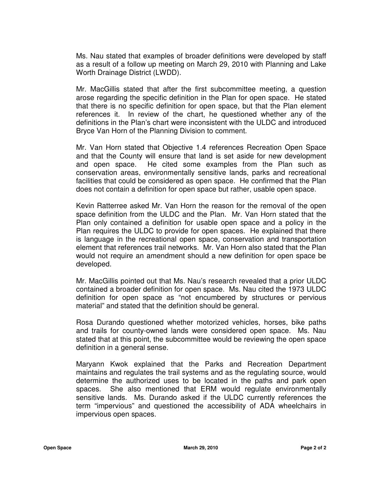Ms. Nau stated that examples of broader definitions were developed by staff as a result of a follow up meeting on March 29, 2010 with Planning and Lake Worth Drainage District (LWDD).

Mr. MacGillis stated that after the first subcommittee meeting, a question arose regarding the specific definition in the Plan for open space. He stated that there is no specific definition for open space, but that the Plan element references it. In review of the chart, he questioned whether any of the definitions in the Plan's chart were inconsistent with the ULDC and introduced Bryce Van Horn of the Planning Division to comment.

Mr. Van Horn stated that Objective 1.4 references Recreation Open Space and that the County will ensure that land is set aside for new development and open space. He cited some examples from the Plan such as conservation areas, environmentally sensitive lands, parks and recreational facilities that could be considered as open space. He confirmed that the Plan does not contain a definition for open space but rather, usable open space.

Kevin Ratterree asked Mr. Van Horn the reason for the removal of the open space definition from the ULDC and the Plan. Mr. Van Horn stated that the Plan only contained a definition for usable open space and a policy in the Plan requires the ULDC to provide for open spaces. He explained that there is language in the recreational open space, conservation and transportation element that references trail networks. Mr. Van Horn also stated that the Plan would not require an amendment should a new definition for open space be developed.

Mr. MacGillis pointed out that Ms. Nau's research revealed that a prior ULDC contained a broader definition for open space. Ms. Nau cited the 1973 ULDC definition for open space as "not encumbered by structures or pervious material" and stated that the definition should be general.

Rosa Durando questioned whether motorized vehicles, horses, bike paths and trails for county-owned lands were considered open space. Ms. Nau stated that at this point, the subcommittee would be reviewing the open space definition in a general sense.

Maryann Kwok explained that the Parks and Recreation Department maintains and regulates the trail systems and as the regulating source, would determine the authorized uses to be located in the paths and park open spaces. She also mentioned that ERM would regulate environmentally sensitive lands. Ms. Durando asked if the ULDC currently references the term "impervious" and questioned the accessibility of ADA wheelchairs in impervious open spaces.